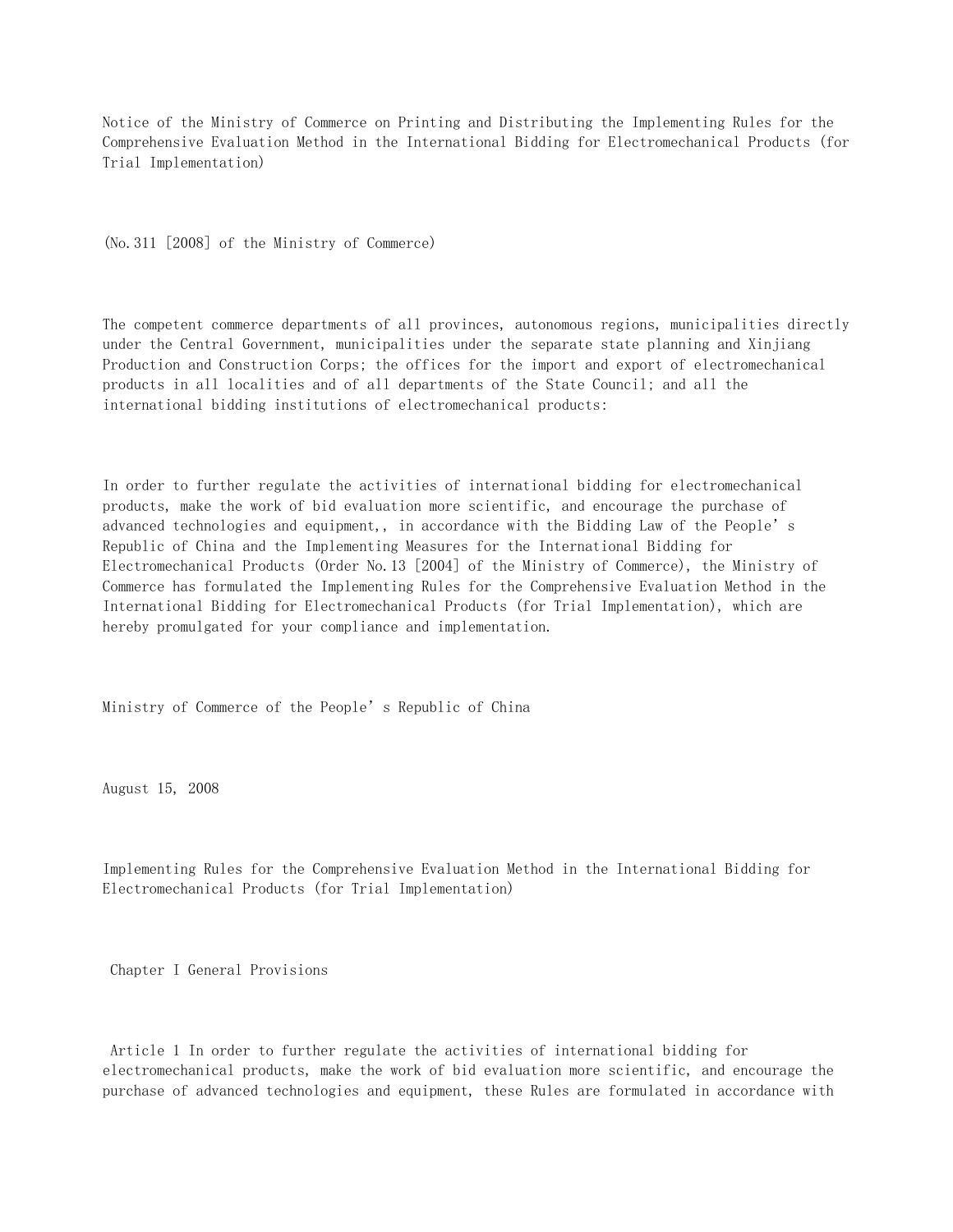Notice of the Ministry of Commerce on Printing and Distributing the Implementing Rules for the Comprehensive Evaluation Method in the International Bidding for Electromechanical Products (for Trial Implementation)

(No.311 [2008] of the Ministry of Commerce)

The competent commerce departments of all provinces, autonomous regions, municipalities directly under the Central Government, municipalities under the separate state planning and Xinjiang Production and Construction Corps; the offices for the import and export of electromechanical products in all localities and of all departments of the State Council; and all the international bidding institutions of electromechanical products:

In order to further regulate the activities of international bidding for electromechanical products, make the work of bid evaluation more scientific, and encourage the purchase of advanced technologies and equipment,, in accordance with the Bidding Law of the People's Republic of China and the Implementing Measures for the International Bidding for Electromechanical Products (Order No.13 [2004] of the Ministry of Commerce), the Ministry of Commerce has formulated the Implementing Rules for the Comprehensive Evaluation Method in the International Bidding for Electromechanical Products (for Trial Implementation), which are hereby promulgated for your compliance and implementation.

Ministry of Commerce of the People's Republic of China

August 15, 2008

Implementing Rules for the Comprehensive Evaluation Method in the International Bidding for Electromechanical Products (for Trial Implementation)

Chapter I General Provisions

 Article 1 In order to further regulate the activities of international bidding for electromechanical products, make the work of bid evaluation more scientific, and encourage the purchase of advanced technologies and equipment, these Rules are formulated in accordance with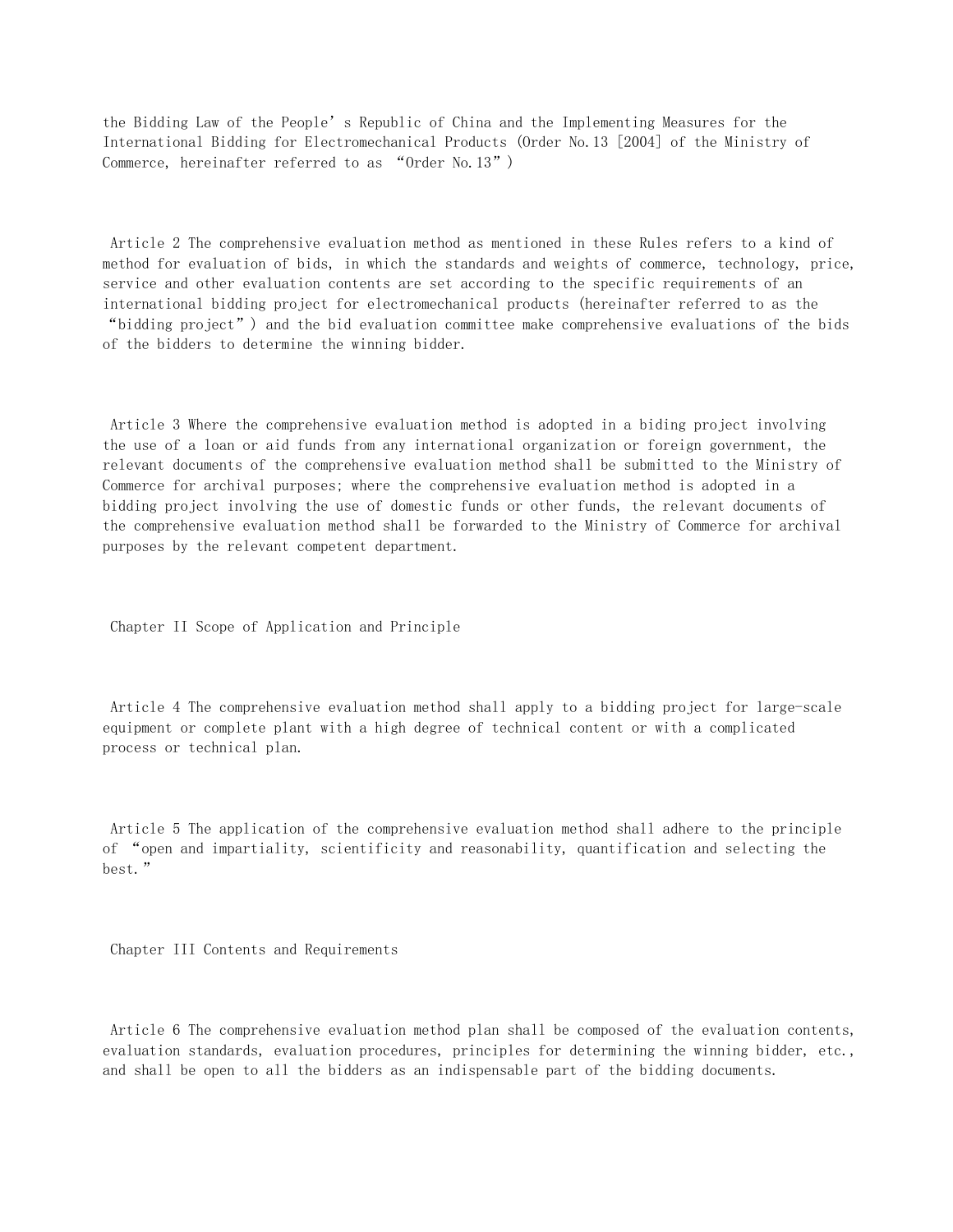the Bidding Law of the People's Republic of China and the Implementing Measures for the International Bidding for Electromechanical Products (Order No.13 [2004] of the Ministry of Commerce, hereinafter referred to as "Order No.13")

 Article 2 The comprehensive evaluation method as mentioned in these Rules refers to a kind of method for evaluation of bids, in which the standards and weights of commerce, technology, price, service and other evaluation contents are set according to the specific requirements of an international bidding project for electromechanical products (hereinafter referred to as the "bidding project") and the bid evaluation committee make comprehensive evaluations of the bids of the bidders to determine the winning bidder.

 Article 3 Where the comprehensive evaluation method is adopted in a biding project involving the use of a loan or aid funds from any international organization or foreign government, the relevant documents of the comprehensive evaluation method shall be submitted to the Ministry of Commerce for archival purposes; where the comprehensive evaluation method is adopted in a bidding project involving the use of domestic funds or other funds, the relevant documents of the comprehensive evaluation method shall be forwarded to the Ministry of Commerce for archival purposes by the relevant competent department.

Chapter II Scope of Application and Principle

 Article 4 The comprehensive evaluation method shall apply to a bidding project for large-scale equipment or complete plant with a high degree of technical content or with a complicated process or technical plan.

 Article 5 The application of the comprehensive evaluation method shall adhere to the principle of "open and impartiality, scientificity and reasonability, quantification and selecting the best."

Chapter III Contents and Requirements

 Article 6 The comprehensive evaluation method plan shall be composed of the evaluation contents, evaluation standards, evaluation procedures, principles for determining the winning bidder, etc., and shall be open to all the bidders as an indispensable part of the bidding documents.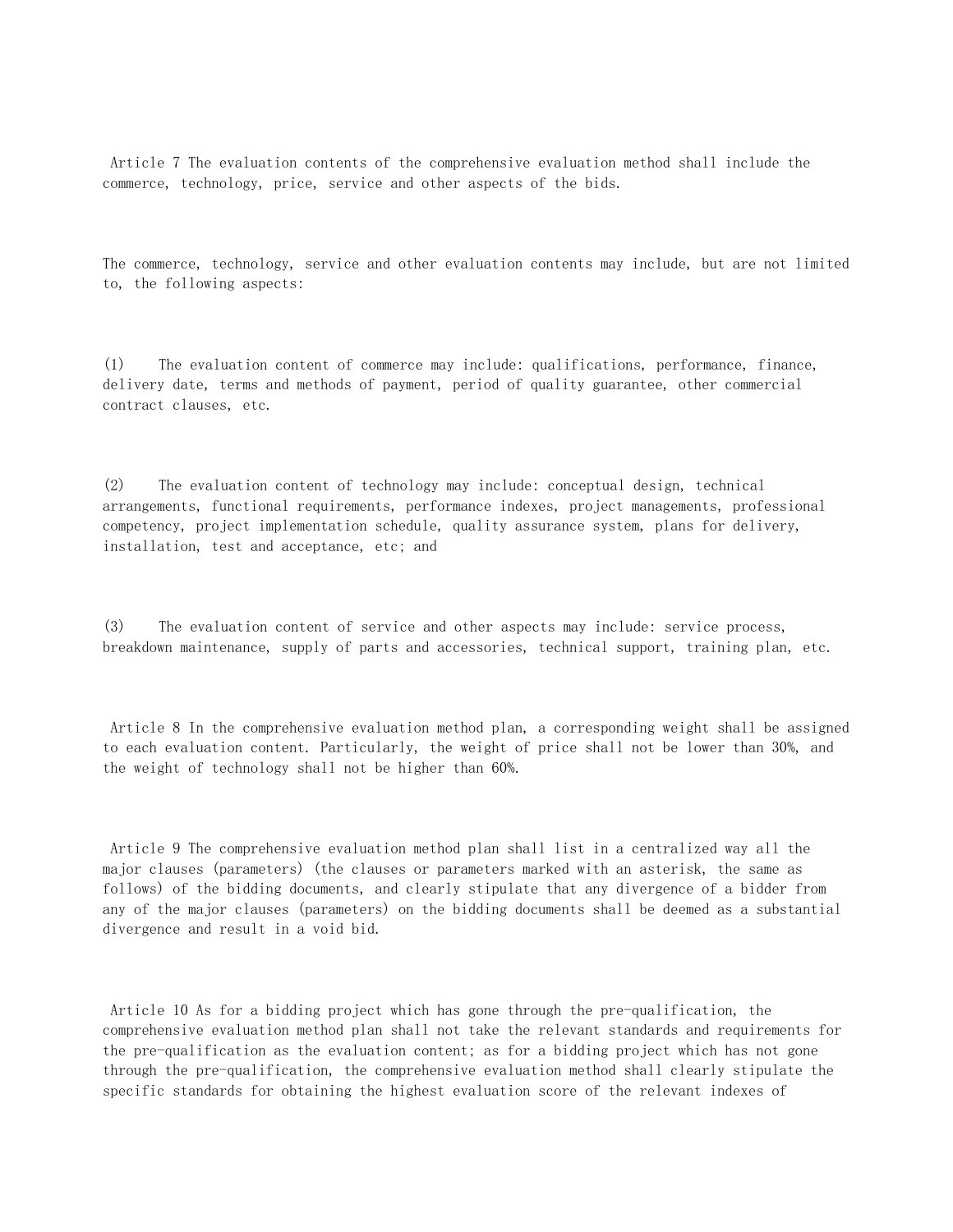Article 7 The evaluation contents of the comprehensive evaluation method shall include the commerce, technology, price, service and other aspects of the bids.

The commerce, technology, service and other evaluation contents may include, but are not limited to, the following aspects:

(1) The evaluation content of commerce may include: qualifications, performance, finance, delivery date, terms and methods of payment, period of quality guarantee, other commercial contract clauses, etc.

(2) The evaluation content of technology may include: conceptual design, technical arrangements, functional requirements, performance indexes, project managements, professional competency, project implementation schedule, quality assurance system, plans for delivery, installation, test and acceptance, etc; and

(3) The evaluation content of service and other aspects may include: service process, breakdown maintenance, supply of parts and accessories, technical support, training plan, etc.

 Article 8 In the comprehensive evaluation method plan, a corresponding weight shall be assigned to each evaluation content. Particularly, the weight of price shall not be lower than 30%, and the weight of technology shall not be higher than 60%.

 Article 9 The comprehensive evaluation method plan shall list in a centralized way all the major clauses (parameters) (the clauses or parameters marked with an asterisk, the same as follows) of the bidding documents, and clearly stipulate that any divergence of a bidder from any of the major clauses (parameters) on the bidding documents shall be deemed as a substantial divergence and result in a void bid.

 Article 10 As for a bidding project which has gone through the pre-qualification, the comprehensive evaluation method plan shall not take the relevant standards and requirements for the pre-qualification as the evaluation content; as for a bidding project which has not gone through the pre-qualification, the comprehensive evaluation method shall clearly stipulate the specific standards for obtaining the highest evaluation score of the relevant indexes of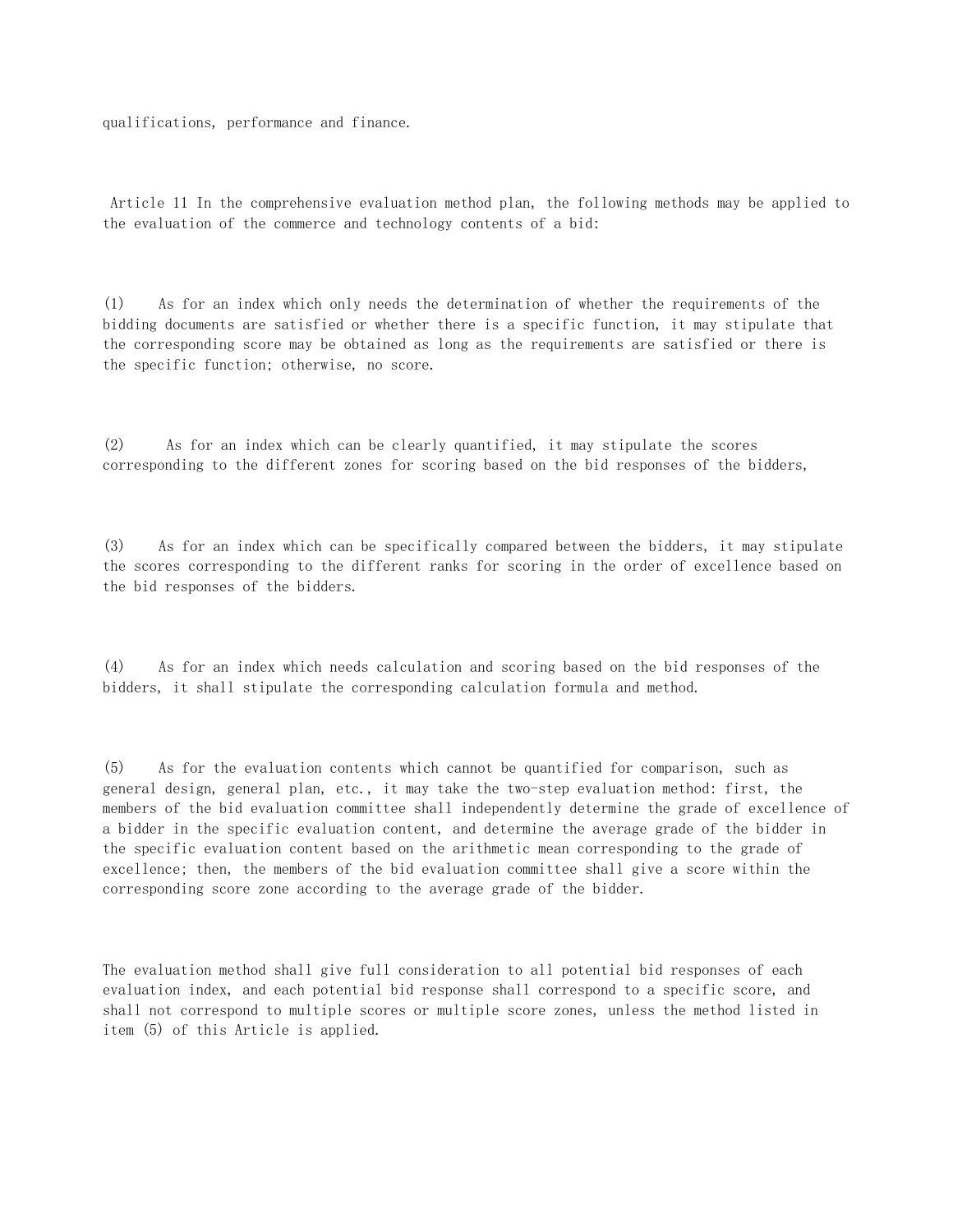qualifications, performance and finance.

 Article 11 In the comprehensive evaluation method plan, the following methods may be applied to the evaluation of the commerce and technology contents of a bid:

(1) As for an index which only needs the determination of whether the requirements of the bidding documents are satisfied or whether there is a specific function, it may stipulate that the corresponding score may be obtained as long as the requirements are satisfied or there is the specific function; otherwise, no score.

(2) As for an index which can be clearly quantified, it may stipulate the scores corresponding to the different zones for scoring based on the bid responses of the bidders,

(3) As for an index which can be specifically compared between the bidders, it may stipulate the scores corresponding to the different ranks for scoring in the order of excellence based on the bid responses of the bidders.

(4) As for an index which needs calculation and scoring based on the bid responses of the bidders, it shall stipulate the corresponding calculation formula and method.

(5) As for the evaluation contents which cannot be quantified for comparison, such as general design, general plan, etc., it may take the two-step evaluation method: first, the members of the bid evaluation committee shall independently determine the grade of excellence of a bidder in the specific evaluation content, and determine the average grade of the bidder in the specific evaluation content based on the arithmetic mean corresponding to the grade of excellence; then, the members of the bid evaluation committee shall give a score within the corresponding score zone according to the average grade of the bidder.

The evaluation method shall give full consideration to all potential bid responses of each evaluation index, and each potential bid response shall correspond to a specific score, and shall not correspond to multiple scores or multiple score zones, unless the method listed in item (5) of this Article is applied.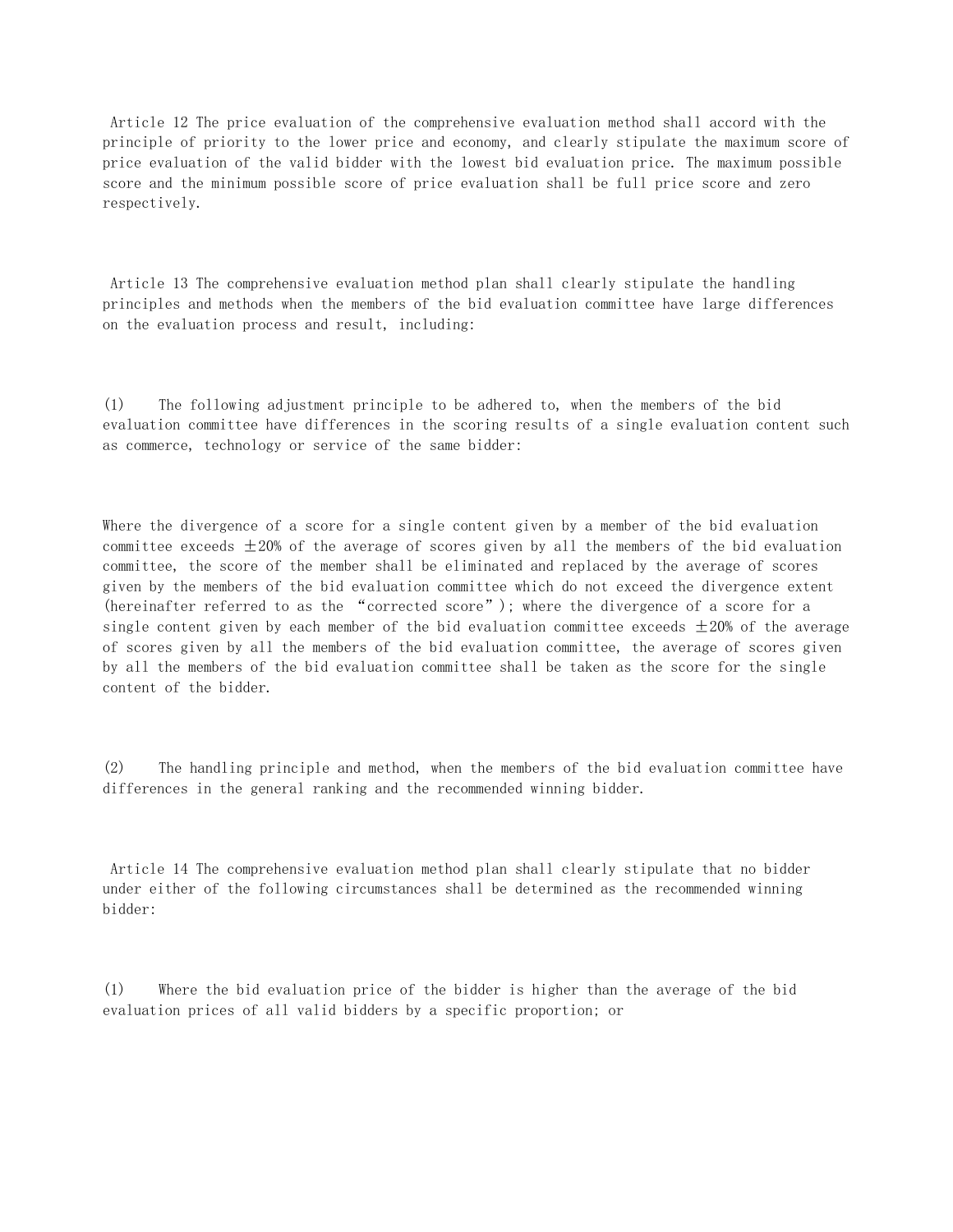Article 12 The price evaluation of the comprehensive evaluation method shall accord with the principle of priority to the lower price and economy, and clearly stipulate the maximum score of price evaluation of the valid bidder with the lowest bid evaluation price. The maximum possible score and the minimum possible score of price evaluation shall be full price score and zero respectively.

 Article 13 The comprehensive evaluation method plan shall clearly stipulate the handling principles and methods when the members of the bid evaluation committee have large differences on the evaluation process and result, including:

(1) The following adjustment principle to be adhered to, when the members of the bid evaluation committee have differences in the scoring results of a single evaluation content such as commerce, technology or service of the same bidder:

Where the divergence of a score for a single content given by a member of the bid evaluation committee exceeds  $\pm 20\%$  of the average of scores given by all the members of the bid evaluation committee, the score of the member shall be eliminated and replaced by the average of scores given by the members of the bid evaluation committee which do not exceed the divergence extent (hereinafter referred to as the "corrected score"); where the divergence of a score for a single content given by each member of the bid evaluation committee exceeds  $\pm 20\%$  of the average of scores given by all the members of the bid evaluation committee, the average of scores given by all the members of the bid evaluation committee shall be taken as the score for the single content of the bidder.

(2) The handling principle and method, when the members of the bid evaluation committee have differences in the general ranking and the recommended winning bidder.

 Article 14 The comprehensive evaluation method plan shall clearly stipulate that no bidder under either of the following circumstances shall be determined as the recommended winning bidder:

(1) Where the bid evaluation price of the bidder is higher than the average of the bid evaluation prices of all valid bidders by a specific proportion; or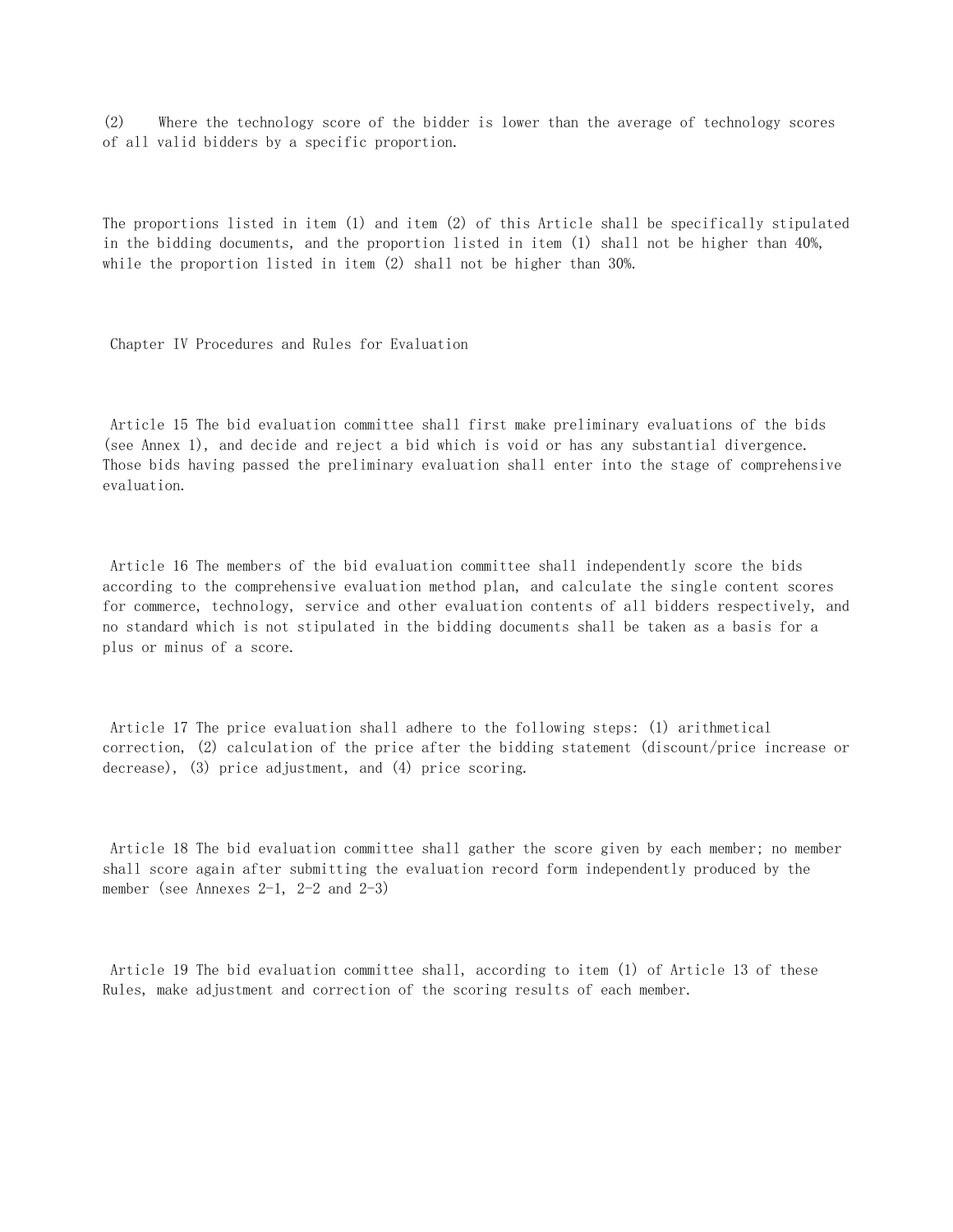(2) Where the technology score of the bidder is lower than the average of technology scores of all valid bidders by a specific proportion.

The proportions listed in item (1) and item (2) of this Article shall be specifically stipulated in the bidding documents, and the proportion listed in item (1) shall not be higher than 40%, while the proportion listed in item (2) shall not be higher than 30%.

Chapter IV Procedures and Rules for Evaluation

 Article 15 The bid evaluation committee shall first make preliminary evaluations of the bids (see Annex 1), and decide and reject a bid which is void or has any substantial divergence. Those bids having passed the preliminary evaluation shall enter into the stage of comprehensive evaluation.

 Article 16 The members of the bid evaluation committee shall independently score the bids according to the comprehensive evaluation method plan, and calculate the single content scores for commerce, technology, service and other evaluation contents of all bidders respectively, and no standard which is not stipulated in the bidding documents shall be taken as a basis for a plus or minus of a score.

 Article 17 The price evaluation shall adhere to the following steps: (1) arithmetical correction, (2) calculation of the price after the bidding statement (discount/price increase or decrease), (3) price adjustment, and (4) price scoring.

 Article 18 The bid evaluation committee shall gather the score given by each member; no member shall score again after submitting the evaluation record form independently produced by the member (see Annexes  $2-1$ ,  $2-2$  and  $2-3$ )

 Article 19 The bid evaluation committee shall, according to item (1) of Article 13 of these Rules, make adjustment and correction of the scoring results of each member.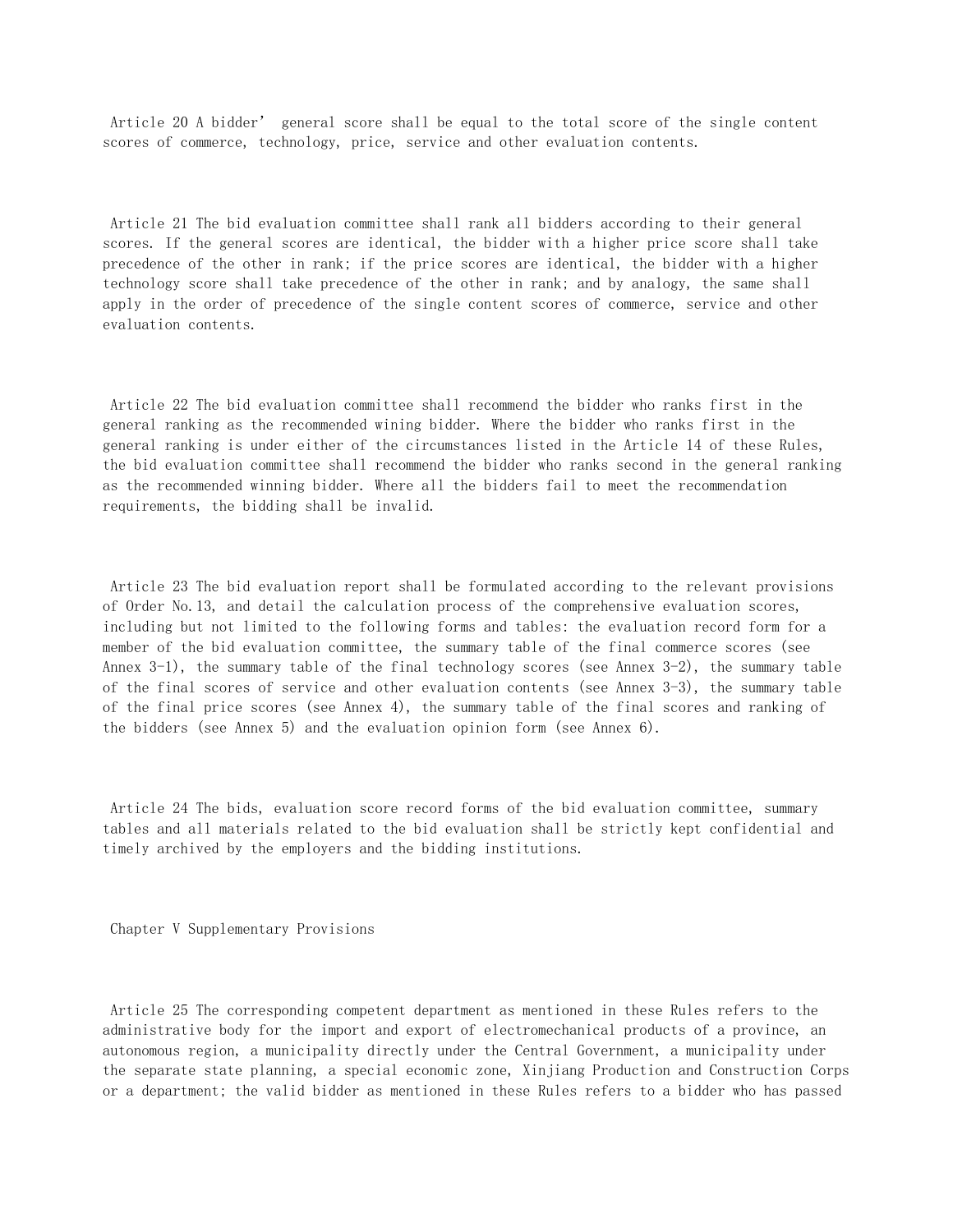Article 20 A bidder' general score shall be equal to the total score of the single content scores of commerce, technology, price, service and other evaluation contents.

 Article 21 The bid evaluation committee shall rank all bidders according to their general scores. If the general scores are identical, the bidder with a higher price score shall take precedence of the other in rank; if the price scores are identical, the bidder with a higher technology score shall take precedence of the other in rank; and by analogy, the same shall apply in the order of precedence of the single content scores of commerce, service and other evaluation contents.

 Article 22 The bid evaluation committee shall recommend the bidder who ranks first in the general ranking as the recommended wining bidder. Where the bidder who ranks first in the general ranking is under either of the circumstances listed in the Article 14 of these Rules, the bid evaluation committee shall recommend the bidder who ranks second in the general ranking as the recommended winning bidder. Where all the bidders fail to meet the recommendation requirements, the bidding shall be invalid.

 Article 23 The bid evaluation report shall be formulated according to the relevant provisions of Order No.13, and detail the calculation process of the comprehensive evaluation scores, including but not limited to the following forms and tables: the evaluation record form for a member of the bid evaluation committee, the summary table of the final commerce scores (see Annex  $3-1$ ), the summary table of the final technology scores (see Annex  $3-2$ ), the summary table of the final scores of service and other evaluation contents (see Annex 3-3), the summary table of the final price scores (see Annex 4), the summary table of the final scores and ranking of the bidders (see Annex 5) and the evaluation opinion form (see Annex 6).

 Article 24 The bids, evaluation score record forms of the bid evaluation committee, summary tables and all materials related to the bid evaluation shall be strictly kept confidential and timely archived by the employers and the bidding institutions.

Chapter V Supplementary Provisions

 Article 25 The corresponding competent department as mentioned in these Rules refers to the administrative body for the import and export of electromechanical products of a province, an autonomous region, a municipality directly under the Central Government, a municipality under the separate state planning, a special economic zone, Xinjiang Production and Construction Corps or a department; the valid bidder as mentioned in these Rules refers to a bidder who has passed